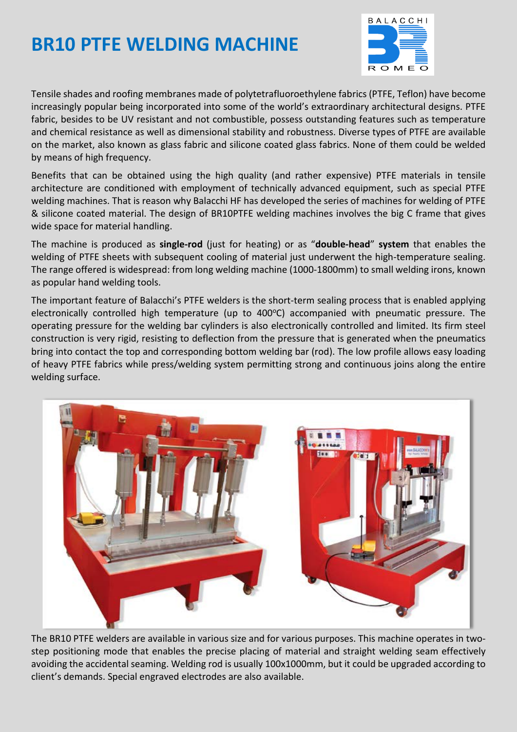## **BR10 PTFE WELDING MACHINE**



Tensile shades and roofing membranes made of polytetrafluoroethylene fabrics (PTFE, Teflon) have become increasingly popular being incorporated into some of the world's extraordinary architectural designs. PTFE fabric, besides to be UV resistant and not combustible, possess outstanding features such as temperature and chemical resistance as well as dimensional stability and robustness. Diverse types of PTFE are available on the market, also known as glass fabric and silicone coated glass fabrics. None of them could be welded by means of high frequency.

Benefits that can be obtained using the high quality (and rather expensive) PTFE materials in tensile architecture are conditioned with employment of technically advanced equipment, such as special PTFE welding machines. That is reason why Balacchi HF has developed the series of machines for welding of PTFE & silicone coated material. The design of BR10PTFE welding machines involves the big C frame that gives wide space for material handling.

The machine is produced as **single-rod** (just for heating) or as "**double-head**" **system** that enables the welding of PTFE sheets with subsequent cooling of material just underwent the high-temperature sealing. The range offered is widespread: from long welding machine (1000-1800mm) to small welding irons, known as popular hand welding tools.

The important feature of Balacchi's PTFE welders is the short-term sealing process that is enabled applying electronically controlled high temperature (up to 400°C) accompanied with pneumatic pressure. The operating pressure for the welding bar cylinders is also electronically controlled and limited. Its firm steel construction is very rigid, resisting to deflection from the pressure that is generated when the pneumatics bring into contact the top and corresponding bottom welding bar (rod). The low profile allows easy loading of heavy PTFE fabrics while press/welding system permitting strong and continuous joins along the entire welding surface.



The BR10 PTFE welders are available in various size and for various purposes. This machine operates in twostep positioning mode that enables the precise placing of material and straight welding seam effectively avoiding the accidental seaming. Welding rod is usually 100x1000mm, but it could be upgraded according to client's demands. Special engraved electrodes are also available.